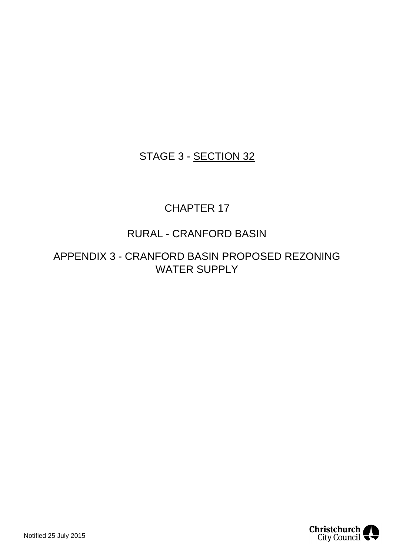### STAGE 3 - SECTION 32

### CHAPTER 17

### RURAL - CRANFORD BASIN

APPENDIX 3 - CRANFORD BASIN PROPOSED REZONING WATER SUPPLY

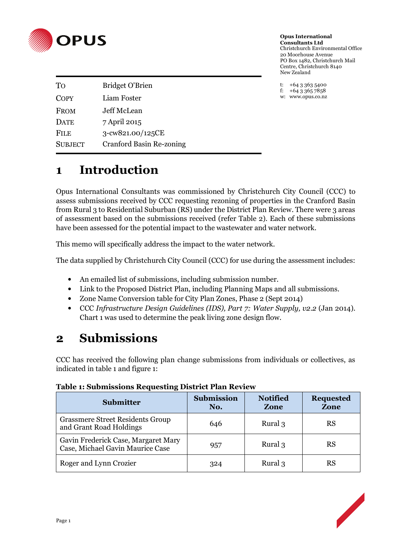

**Opus International Consultants Ltd**  Christchurch Environmental Office 20 Moorhouse Avenue PO Box 1482, Christchurch Mail Centre, Christchurch 8140 New Zealand

t:  $+6433635400$ f:  $+6433657858$ w: www.opus.co.nz

| To             | <b>Bridget O'Brien</b>          |
|----------------|---------------------------------|
| <b>COPY</b>    | Liam Foster                     |
| <b>FROM</b>    | Jeff McLean                     |
| <b>DATE</b>    | 7 April 2015                    |
| <b>FILE</b>    | 3-cw821.00/125CE                |
| <b>SUBJECT</b> | <b>Cranford Basin Re-zoning</b> |
|                |                                 |

# **1 Introduction**

Opus International Consultants was commissioned by Christchurch City Council (CCC) to assess submissions received by CCC requesting rezoning of properties in the Cranford Basin from Rural 3 to Residential Suburban (RS) under the District Plan Review. There were 3 areas of assessment based on the submissions received (refer Table 2). Each of these submissions have been assessed for the potential impact to the wastewater and water network.

This memo will specifically address the impact to the water network.

The data supplied by Christchurch City Council (CCC) for use during the assessment includes:

- An emailed list of submissions, including submission number.
- Link to the Proposed District Plan, including Planning Maps and all submissions.
- Zone Name Conversion table for City Plan Zones, Phase 2 (Sept 2014)
- CCC *Infrastructure Design Guidelines (IDS), Part 7: Water Supply, v2.2* (Jan 2014). Chart 1 was used to determine the peak living zone design flow.

## **2 Submissions**

CCC has received the following plan change submissions from individuals or collectives, as indicated in table 1 and figure 1:

| <b>Submitter</b>                                                        | <b>Submission</b><br>No. | <b>Notified</b><br>Zone | <b>Requested</b><br>Zone |
|-------------------------------------------------------------------------|--------------------------|-------------------------|--------------------------|
| <b>Grassmere Street Residents Group</b><br>and Grant Road Holdings      | 646                      | Rural 3                 | RS                       |
| Gavin Frederick Case, Margaret Mary<br>Case, Michael Gavin Maurice Case | 957                      | Rural 3                 | RS                       |
| Roger and Lynn Crozier                                                  | 324                      | Rural 3                 | RS                       |

**Table 1: Submissions Requesting District Plan Review** 

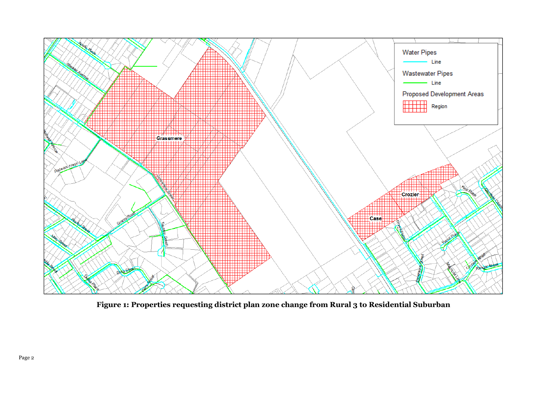

**Figure 1: Properties requesting district plan zone change from Rural 3 to Residential Suburban**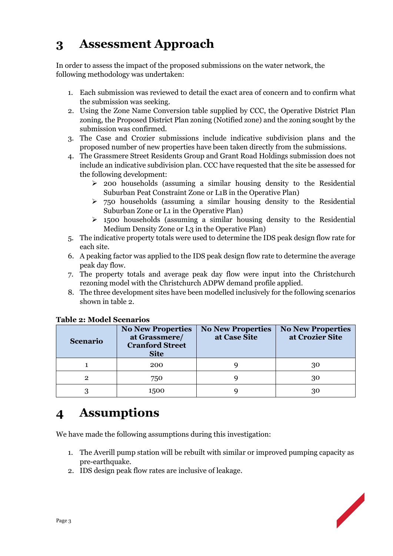# **3 Assessment Approach**

In order to assess the impact of the proposed submissions on the water network, the following methodology was undertaken:

- 1. Each submission was reviewed to detail the exact area of concern and to confirm what the submission was seeking.
- 2. Using the Zone Name Conversion table supplied by CCC, the Operative District Plan zoning, the Proposed District Plan zoning (Notified zone) and the zoning sought by the submission was confirmed.
- 3. The Case and Crozier submissions include indicative subdivision plans and the proposed number of new properties have been taken directly from the submissions.
- 4. The Grassmere Street Residents Group and Grant Road Holdings submission does not include an indicative subdivision plan. CCC have requested that the site be assessed for the following development:
	- $\geq$  200 households (assuming a similar housing density to the Residential Suburban Peat Constraint Zone or L1B in the Operative Plan)
	- $\geq$  750 households (assuming a similar housing density to the Residential Suburban Zone or L1 in the Operative Plan)
	- $\geq$  1500 households (assuming a similar housing density to the Residential Medium Density Zone or L3 in the Operative Plan)
- 5. The indicative property totals were used to determine the IDS peak design flow rate for each site.
- 6. A peaking factor was applied to the IDS peak design flow rate to determine the average peak day flow.
- 7. The property totals and average peak day flow were input into the Christchurch rezoning model with the Christchurch ADPW demand profile applied.
- 8. The three development sites have been modelled inclusively for the following scenarios shown in table 2.

| <b>Scenario</b> | <b>No New Properties</b><br>at Grassmere/<br><b>Cranford Street</b><br><b>Site</b> | <b>No New Properties</b><br>at Case Site | <b>No New Properties</b><br>at Crozier Site |
|-----------------|------------------------------------------------------------------------------------|------------------------------------------|---------------------------------------------|
|                 | 200                                                                                |                                          | 30                                          |
|                 | 750                                                                                |                                          | 30                                          |
|                 | 1500                                                                               |                                          | 30                                          |

#### **Table 2: Model Scenarios**

# **4 Assumptions**

We have made the following assumptions during this investigation:

- 1. The Averill pump station will be rebuilt with similar or improved pumping capacity as pre-earthquake.
- 2. IDS design peak flow rates are inclusive of leakage.

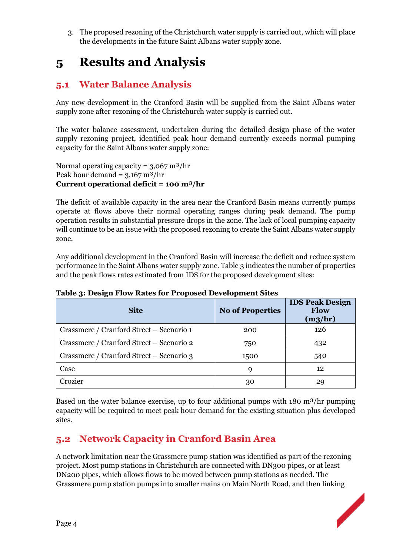3. The proposed rezoning of the Christchurch water supply is carried out, which will place the developments in the future Saint Albans water supply zone.

## **5 Results and Analysis**

### **5.1 Water Balance Analysis**

Any new development in the Cranford Basin will be supplied from the Saint Albans water supply zone after rezoning of the Christchurch water supply is carried out.

The water balance assessment, undertaken during the detailed design phase of the water supply rezoning project, identified peak hour demand currently exceeds normal pumping capacity for the Saint Albans water supply zone:

Normal operating capacity =  $3,067 \text{ m}^3/\text{hr}$ Peak hour demand =  $3,167 \text{ m}^3/\text{hr}$ **Current operational deficit = 100 m³/hr** 

The deficit of available capacity in the area near the Cranford Basin means currently pumps operate at flows above their normal operating ranges during peak demand. The pump operation results in substantial pressure drops in the zone. The lack of local pumping capacity will continue to be an issue with the proposed rezoning to create the Saint Albans water supply zone.

Any additional development in the Cranford Basin will increase the deficit and reduce system performance in the Saint Albans water supply zone. Table 3 indicates the number of properties and the peak flows rates estimated from IDS for the proposed development sites:

| <b>Site</b>                              | <b>No of Properties</b> | <b>IDS Peak Design</b><br><b>Flow</b><br>$(m_3/hr)$ |
|------------------------------------------|-------------------------|-----------------------------------------------------|
| Grassmere / Cranford Street – Scenario 1 | 200                     | 126                                                 |
| Grassmere / Cranford Street – Scenario 2 | 750                     | 432                                                 |
| Grassmere / Cranford Street – Scenario 3 | 1500                    | 540                                                 |
| Case                                     | 9                       | 12                                                  |
| Crozier                                  | 30                      | 29                                                  |

**Table 3: Design Flow Rates for Proposed Development Sites** 

Based on the water balance exercise, up to four additional pumps with  $180 \text{ m}^3/\text{hr}$  pumping capacity will be required to meet peak hour demand for the existing situation plus developed sites.

### **5.2 Network Capacity in Cranford Basin Area**

A network limitation near the Grassmere pump station was identified as part of the rezoning project. Most pump stations in Christchurch are connected with DN300 pipes, or at least DN200 pipes, which allows flows to be moved between pump stations as needed. The Grassmere pump station pumps into smaller mains on Main North Road, and then linking

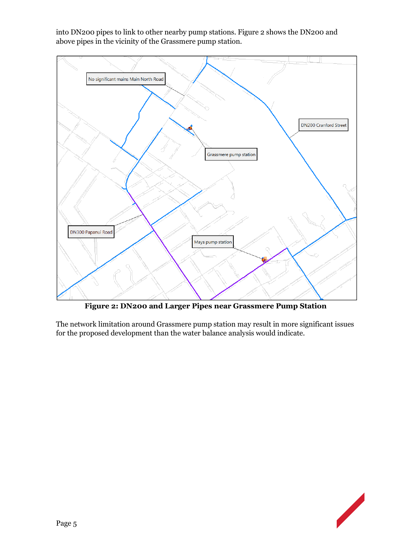

into DN200 pipes to link to other nearby pump stations. Figure 2 shows the DN200 and above pipes in the vicinity of the Grassmere pump station.

**Figure 2: DN200 and Larger Pipes near Grassmere Pump Station** 

The network limitation around Grassmere pump station may result in more significant issues for the proposed development than the water balance analysis would indicate.

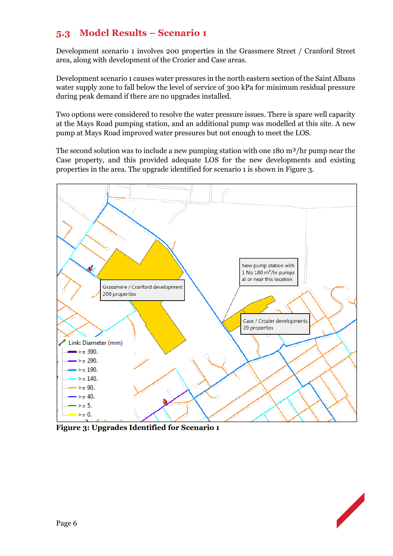#### **5.3 Model Results – Scenario 1**

Development scenario 1 involves 200 properties in the Grassmere Street / Cranford Street area, along with development of the Crozier and Case areas.

Development scenario 1 causes water pressures in the north eastern section of the Saint Albans water supply zone to fall below the level of service of 300 kPa for minimum residual pressure during peak demand if there are no upgrades installed.

Two options were considered to resolve the water pressure issues. There is spare well capacity at the Mays Road pumping station, and an additional pump was modelled at this site. A new pump at Mays Road improved water pressures but not enough to meet the LOS.

The second solution was to include a new pumping station with one 180 m<sup>3</sup>/hr pump near the Case property, and this provided adequate LOS for the new developments and existing properties in the area. The upgrade identified for scenario 1 is shown in Figure 3.



**Figure 3: Upgrades Identified for Scenario 1** 

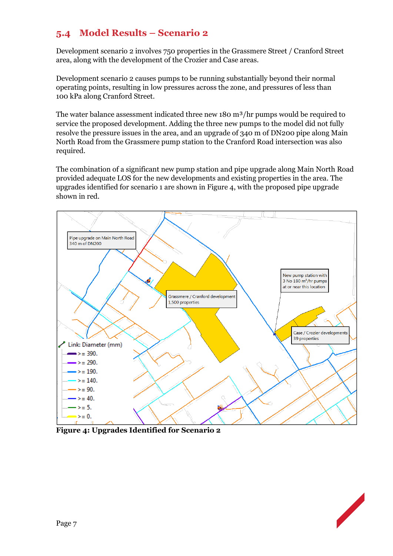#### **5.4 Model Results – Scenario 2**

Development scenario 2 involves 750 properties in the Grassmere Street / Cranford Street area, along with the development of the Crozier and Case areas.

Development scenario 2 causes pumps to be running substantially beyond their normal operating points, resulting in low pressures across the zone, and pressures of less than 100 kPa along Cranford Street.

The water balance assessment indicated three new 180 m<sup>3</sup>/hr pumps would be required to service the proposed development. Adding the three new pumps to the model did not fully resolve the pressure issues in the area, and an upgrade of 340 m of DN200 pipe along Main North Road from the Grassmere pump station to the Cranford Road intersection was also required.

The combination of a significant new pump station and pipe upgrade along Main North Road provided adequate LOS for the new developments and existing properties in the area. The upgrades identified for scenario 1 are shown in Figure 4, with the proposed pipe upgrade shown in red.



**Figure 4: Upgrades Identified for Scenario 2** 

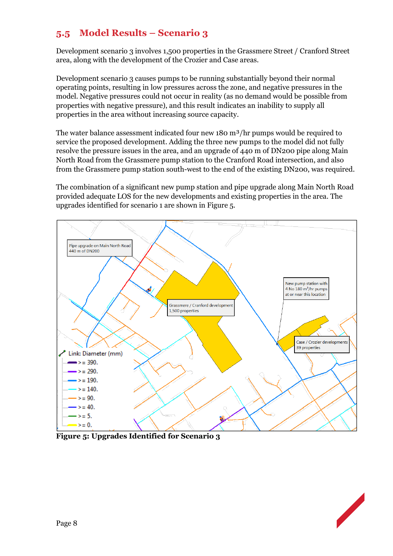### **5.5 Model Results – Scenario 3**

Development scenario 3 involves 1,500 properties in the Grassmere Street / Cranford Street area, along with the development of the Crozier and Case areas.

Development scenario 3 causes pumps to be running substantially beyond their normal operating points, resulting in low pressures across the zone, and negative pressures in the model. Negative pressures could not occur in reality (as no demand would be possible from properties with negative pressure), and this result indicates an inability to supply all properties in the area without increasing source capacity.

The water balance assessment indicated four new  $180 \text{ m}^3/\text{hr}$  pumps would be required to service the proposed development. Adding the three new pumps to the model did not fully resolve the pressure issues in the area, and an upgrade of 440 m of DN200 pipe along Main North Road from the Grassmere pump station to the Cranford Road intersection, and also from the Grassmere pump station south-west to the end of the existing DN200, was required.

The combination of a significant new pump station and pipe upgrade along Main North Road provided adequate LOS for the new developments and existing properties in the area. The upgrades identified for scenario 1 are shown in Figure 5.



**Figure 5: Upgrades Identified for Scenario 3**